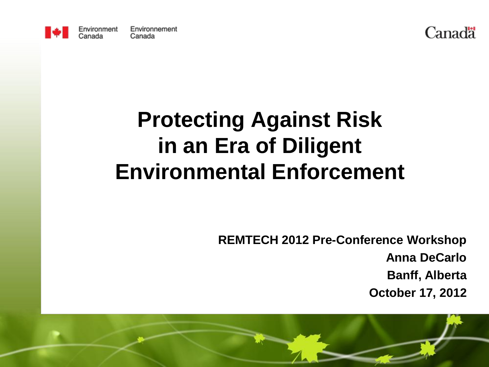



#### **Protecting Against Risk in an Era of Diligent Environmental Enforcement**

**REMTECH 2012 Pre-Conference Workshop Anna DeCarlo Banff, Alberta October 17, 2012**

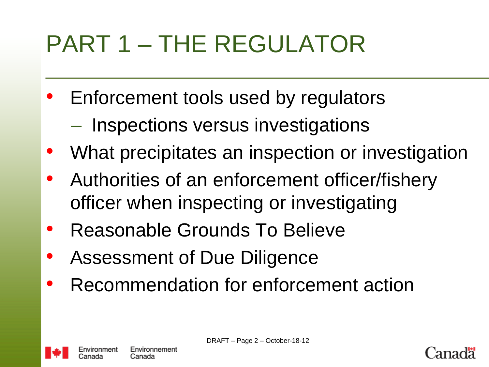# PART 1 – THE REGULATOR

- Enforcement tools used by regulators
	- Inspections versus investigations
- What precipitates an inspection or investigation
- Authorities of an enforcement officer/fishery officer when inspecting or investigating
- Reasonable Grounds To Believe
- Assessment of Due Diligence
- Recommendation for enforcement action



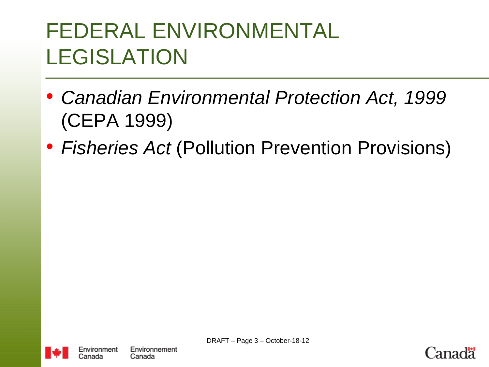### FEDERAL ENVIRONMENTAL LEGISLATION

- *Canadian Environmental Protection Act, 1999* (CEPA 1999)
- *Fisheries Act* (Pollution Prevention Provisions)



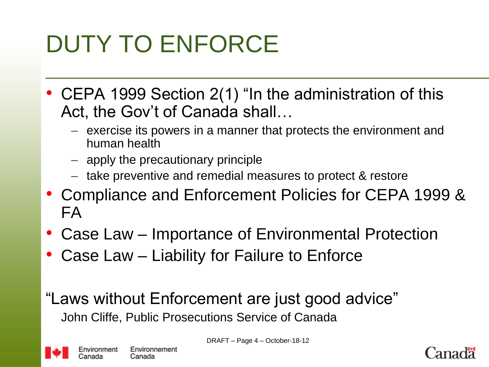# DUTY TO ENFORCE

- CEPA 1999 Section 2(1) "In the administration of this Act, the Gov't of Canada shall…
	- exercise its powers in a manner that protects the environment and human health
	- apply the precautionary principle
	- take preventive and remedial measures to protect & restore
- Compliance and Enforcement Policies for CEPA 1999 & FA
- Case Law Importance of Environmental Protection
- Case Law Liability for Failure to Enforce

"Laws without Enforcement are just good advice" John Cliffe, Public Prosecutions Service of Canada



DRAFT – Page 4 – October-18-12

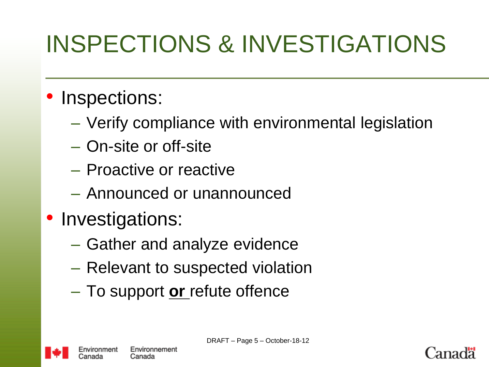# INSPECTIONS & INVESTIGATIONS

#### • Inspections:

- Verify compliance with environmental legislation
- On-site or off-site
- Proactive or reactive
- Announced or unannounced
- Investigations:
	- Gather and analyze evidence
	- Relevant to suspected violation
	- To support **or** refute offence



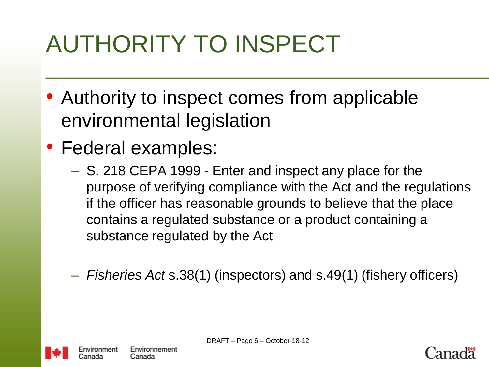# AUTHORITY TO INSPECT

- Authority to inspect comes from applicable environmental legislation
- Federal examples:
	- S. 218 CEPA 1999 Enter and inspect any place for the purpose of verifying compliance with the Act and the regulations if the officer has reasonable grounds to believe that the place contains a regulated substance or a product containing a substance regulated by the Act
	- *Fisheries Act* s.38(1) (inspectors) and s.49(1) (fishery officers)



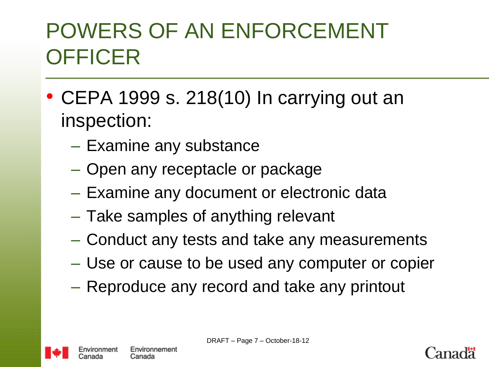### POWERS OF AN ENFORCEMENT **OFFICER**

- CEPA 1999 s. 218(10) In carrying out an inspection:
	- Examine any substance
	- Open any receptacle or package
	- Examine any document or electronic data
	- Take samples of anything relevant
	- Conduct any tests and take any measurements
	- Use or cause to be used any computer or copier
	- Reproduce any record and take any printout



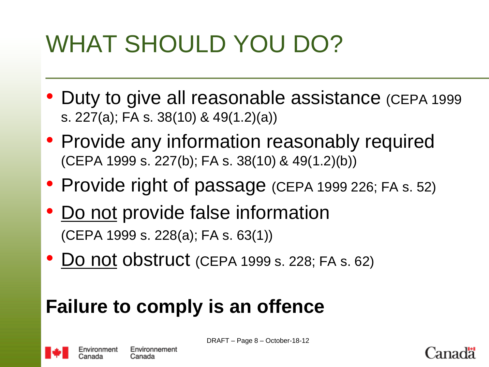# WHAT SHOULD YOU DO?

- Duty to give all reasonable assistance (CEPA 1999 s. 227(a); FA s. 38(10) & 49(1.2)(a))
- Provide any information reasonably required (CEPA 1999 s. 227(b); FA s. 38(10) & 49(1.2)(b))
- Provide right of passage (CEPA 1999 226; FA s. 52)
- Do not provide false information (CEPA 1999 s. 228(a); FA s. 63(1))
- Do not obstruct (CEPA 1999 s. 228; FA s. 62)

#### **Failure to comply is an offence**



Canada

DRAFT – Page 8 – October-18-12

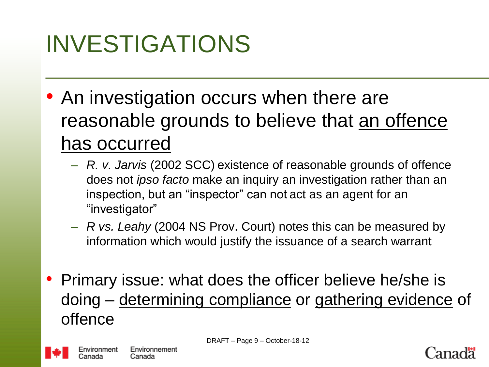## INVESTIGATIONS

- An investigation occurs when there are reasonable grounds to believe that an offence has occurred
	- *R. v. Jarvis* (2002 SCC) existence of reasonable grounds of offence does not *ipso facto* make an inquiry an investigation rather than an inspection, but an "inspector" can not act as an agent for an "investigator"
	- *R vs. Leahy* (2004 NS Prov. Court) notes this can be measured by information which would justify the issuance of a search warrant
- Primary issue: what does the officer believe he/she is doing – determining compliance or gathering evidence of offence



Canada

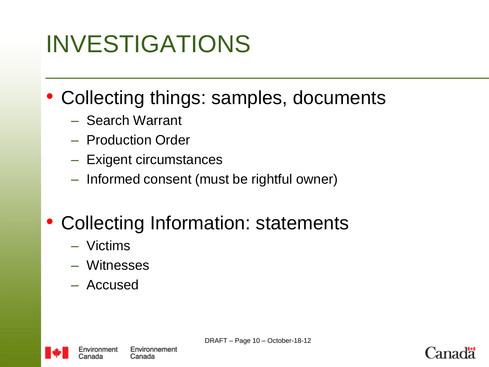## INVESTIGATIONS

- Collecting things: samples, documents
	- Search Warrant
	- Production Order
	- Exigent circumstances
	- Informed consent (must be rightful owner)

#### • Collecting Information: statements

- Victims
- Witnesses
- Accused



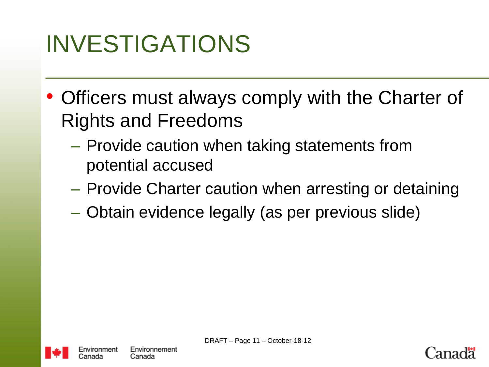## INVESTIGATIONS

- Officers must always comply with the Charter of Rights and Freedoms
	- Provide caution when taking statements from potential accused
	- Provide Charter caution when arresting or detaining
	- Obtain evidence legally (as per previous slide)



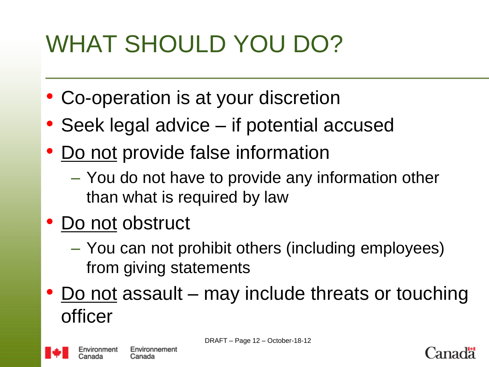# WHAT SHOULD YOU DO?

- Co-operation is at your discretion
- Seek legal advice if potential accused
- Do not provide false information
	- You do not have to provide any information other than what is required by law
- Do not obstruct
	- You can not prohibit others (including employees) from giving statements
- Do not assault may include threats or touching officer



Canada

DRAFT – Page 12 – October-18-12

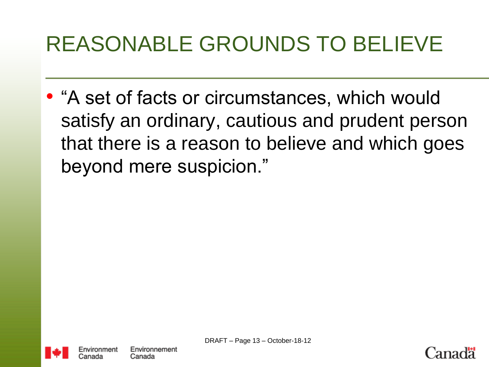### REASONABLE GROUNDS TO BELIEVE

• "A set of facts or circumstances, which would satisfy an ordinary, cautious and prudent person that there is a reason to believe and which goes beyond mere suspicion."



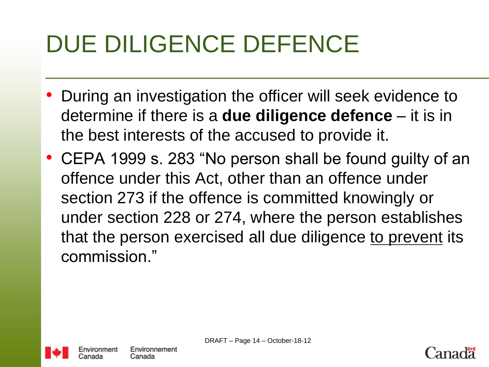# DUE DILIGENCE DEFENCE

- During an investigation the officer will seek evidence to determine if there is a **due diligence defence** – it is in the best interests of the accused to provide it.
- CEPA 1999 s. 283 "No person shall be found guilty of an offence under this Act, other than an offence under section 273 if the offence is committed knowingly or under section 228 or 274, where the person establishes that the person exercised all due diligence to prevent its commission."



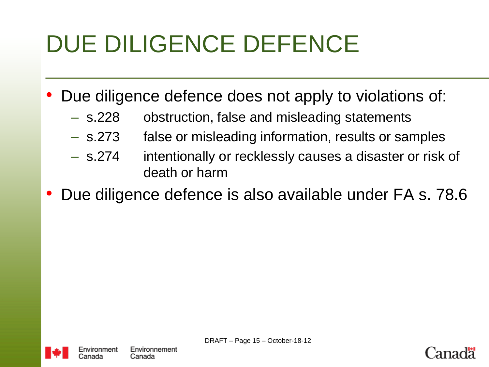# DUE DILIGENCE DEFENCE

- Due diligence defence does not apply to violations of:
	- s.228 obstruction, false and misleading statements
	- s.273 false or misleading information, results or samples
	- s.274 intentionally or recklessly causes a disaster or risk of death or harm
- Due diligence defence is also available under FA s. 78.6